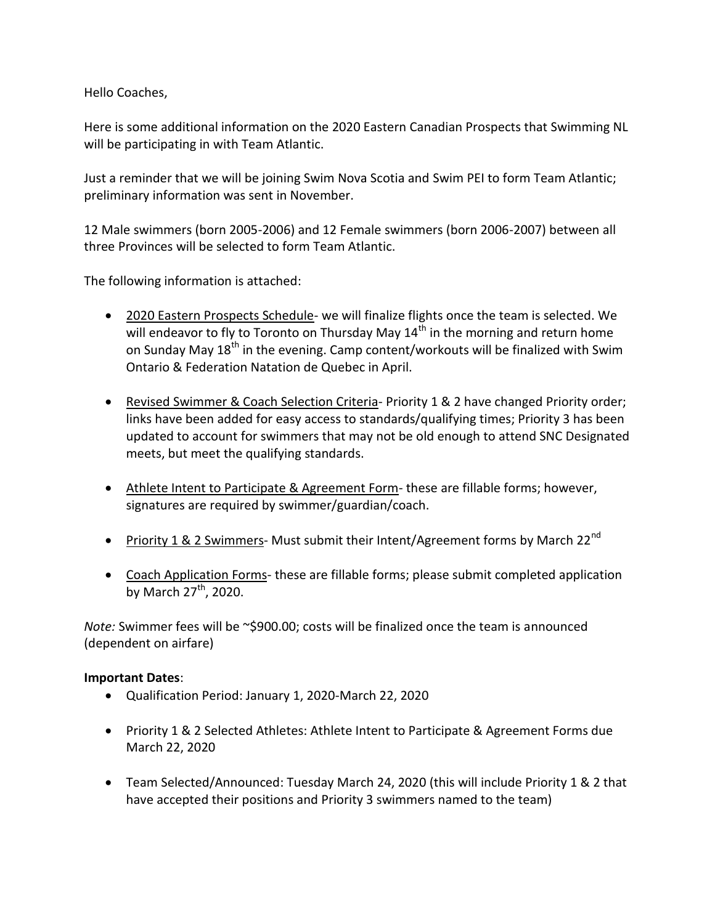Hello Coaches,

Here is some additional information on the 2020 Eastern Canadian Prospects that Swimming NL will be participating in with Team Atlantic.

Just a reminder that we will be joining Swim Nova Scotia and Swim PEI to form Team Atlantic; preliminary information was sent in November.

12 Male swimmers (born 2005-2006) and 12 Female swimmers (born 2006-2007) between all three Provinces will be selected to form Team Atlantic.

The following information is attached:

- 2020 Eastern Prospects Schedule- we will finalize flights once the team is selected. We will endeavor to fly to Toronto on Thursday May  $14<sup>th</sup>$  in the morning and return home on Sunday May  $18^{th}$  in the evening. Camp content/workouts will be finalized with Swim Ontario & Federation Natation de Quebec in April.
- Revised Swimmer & Coach Selection Criteria- Priority 1 & 2 have changed Priority order; links have been added for easy access to standards/qualifying times; Priority 3 has been updated to account for swimmers that may not be old enough to attend SNC Designated meets, but meet the qualifying standards.
- Athlete Intent to Participate & Agreement Form- these are fillable forms; however, signatures are required by swimmer/guardian/coach.
- Priority 1 & 2 Swimmers- Must submit their Intent/Agreement forms by March 22<sup>nd</sup>
- Coach Application Forms- these are fillable forms; please submit completed application by March  $27<sup>th</sup>$ , 2020.

*Note:* Swimmer fees will be ~\$900.00; costs will be finalized once the team is announced (dependent on airfare)

## **Important Dates**:

- Qualification Period: January 1, 2020-March 22, 2020
- Priority 1 & 2 Selected Athletes: Athlete Intent to Participate & Agreement Forms due March 22, 2020
- Team Selected/Announced: Tuesday March 24, 2020 (this will include Priority 1 & 2 that have accepted their positions and Priority 3 swimmers named to the team)